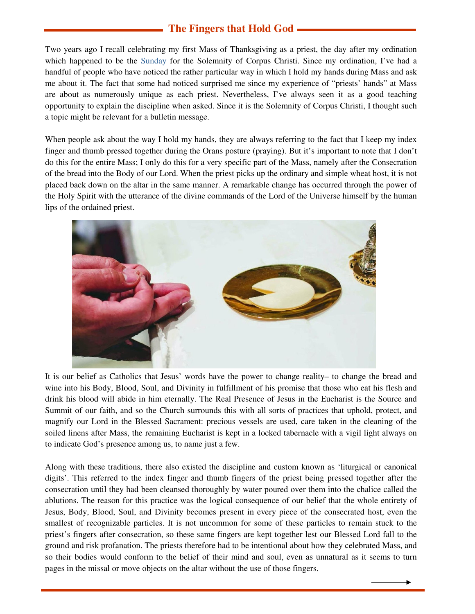## **The Fingers that Hold God**

Two years ago I recall celebrating my first Mass of Thanksgiving as a priest, the day after my ordination which happened to be the Sunday for the Solemnity of Corpus Christi. Since my ordination, I've had a handful of people who have noticed the rather particular way in which I hold my hands during Mass and ask me about it. The fact that some had noticed surprised me since my experience of "priests' hands" at Mass are about as numerously unique as each priest. Nevertheless, I've always seen it as a good teaching opportunity to explain the discipline when asked. Since it is the Solemnity of Corpus Christi, I thought such a topic might be relevant for a bulletin message.

When people ask about the way I hold my hands, they are always referring to the fact that I keep my index finger and thumb pressed together during the Orans posture (praying). But it's important to note that I don't do this for the entire Mass; I only do this for a very specific part of the Mass, namely after the Consecration of the bread into the Body of our Lord. When the priest picks up the ordinary and simple wheat host, it is not placed back down on the altar in the same manner. A remarkable change has occurred through the power of the Holy Spirit with the utterance of the divine commands of the Lord of the Universe himself by the human lips of the ordained priest.



It is our belief as Catholics that Jesus' words have the power to change reality– to change the bread and wine into his Body, Blood, Soul, and Divinity in fulfillment of his promise that those who eat his flesh and drink his blood will abide in him eternally. The Real Presence of Jesus in the Eucharist is the Source and Summit of our faith, and so the Church surrounds this with all sorts of practices that uphold, protect, and magnify our Lord in the Blessed Sacrament: precious vessels are used, care taken in the cleaning of the soiled linens after Mass, the remaining Eucharist is kept in a locked tabernacle with a vigil light always on to indicate God's presence among us, to name just a few.

Along with these traditions, there also existed the discipline and custom known as 'liturgical or canonical digits'. This referred to the index finger and thumb fingers of the priest being pressed together after the consecration until they had been cleansed thoroughly by water poured over them into the chalice called the ablutions. The reason for this practice was the logical consequence of our belief that the whole entirety of Jesus, Body, Blood, Soul, and Divinity becomes present in every piece of the consecrated host, even the smallest of recognizable particles. It is not uncommon for some of these particles to remain stuck to the priest's fingers after consecration, so these same fingers are kept together lest our Blessed Lord fall to the ground and risk profanation. The priests therefore had to be intentional about how they celebrated Mass, and so their bodies would conform to the belief of their mind and soul, even as unnatural as it seems to turn pages in the missal or move objects on the altar without the use of those fingers.